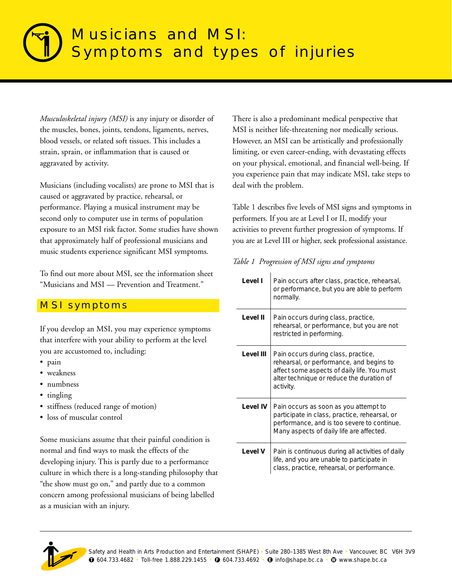# Musicians and MSI: Symptoms and types of injuries

*Musculoskeletal injury (MSI)* is any injury or disorder of the muscles, bones, joints, tendons, ligaments, nerves, blood vessels, or related soft tissues. This includes a strain, sprain, or inflammation that is caused or aggravated by activity.

Musicians (including vocalists) are prone to MSI that is caused or aggravated by practice, rehearsal, or performance. Playing a musical instrument may be second only to computer use in terms of population exposure to an MSI risk factor. Some studies have shown that approximately half of professional musicians and music students experience significant MSI symptoms.

To find out more about MSI, see the information sheet "Musicians and MSI — Prevention and Treatment."

## MSI symptoms

If you develop an MSI, you may experience symptoms that interfere with your ability to perform at the level you are accustomed to, including:

- pain
- weakness
- numbness
- tingling
- stiffness (reduced range of motion)
- loss of muscular control

Some musicians assume that their painful condition is normal and find ways to mask the effects of the developing injury. This is partly due to a performance culture in which there is a long-standing philosophy that "the show must go on," and partly due to a common concern among professional musicians of being labelled as a musician with an injury.

There is also a predominant medical perspective that MSI is neither life-threatening nor medically serious. However, an MSI can be artistically and professionally limiting, or even career-ending, with devastating effects on your physical, emotional, and financial well-being. If you experience pain that may indicate MSI, take steps to deal with the problem.

Table 1 describes five levels of MSI signs and symptoms in performers. If you are at Level I or II, modify your activities to prevent further progression of symptoms. If you are at Level III or higher, seek professional assistance.

*Table 1 Progression of MSI signs and symptoms*

| Level I   | Pain occurs after class, practice, rehearsal,<br>or performance, but you are able to perform<br>normally.                                                                                |
|-----------|------------------------------------------------------------------------------------------------------------------------------------------------------------------------------------------|
| Level II  | Pain occurs during class, practice,<br>rehearsal, or performance, but you are not<br>restricted in performing.                                                                           |
| Level III | Pain occurs during class, practice,<br>rehearsal, or performance, and begins to<br>affect some aspects of daily life. You must<br>alter technique or reduce the duration of<br>activity. |
| Level IV  | Pain occurs as soon as you attempt to<br>participate in class, practice, rehearsal, or<br>performance, and is too severe to continue.<br>Many aspects of daily life are affected.        |
| Level V   | Pain is continuous during all activities of daily<br>life, and you are unable to participate in<br>class, practice, rehearsal, or performance.                                           |

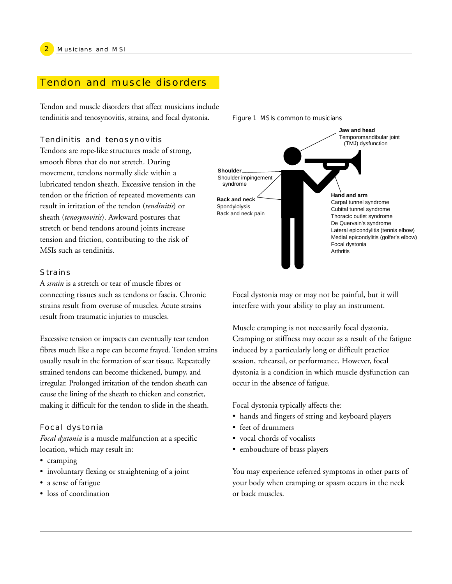### Tendon and muscle disorders

Tendon and muscle disorders that affect musicians include tendinitis and tenosynovitis, strains, and focal dystonia.

#### Tendinitis and tenosynovitis

Tendons are rope-like structures made of strong, smooth fibres that do not stretch. During movement, tendons normally slide within a lubricated tendon sheath. Excessive tension in the tendon or the friction of repeated movements can result in irritation of the tendon (*tendinitis*) or sheath (*tenosynovitis*). Awkward postures that stretch or bend tendons around joints increase tension and friction, contributing to the risk of MSIs such as tendinitis.

#### **Strains**

A *strain* is a stretch or tear of muscle fibres or connecting tissues such as tendons or fascia. Chronic strains result from overuse of muscles. Acute strains result from traumatic injuries to muscles.

Excessive tension or impacts can eventually tear tendon fibres much like a rope can become frayed. Tendon strains usually result in the formation of scar tissue. Repeatedly strained tendons can become thickened, bumpy, and irregular. Prolonged irritation of the tendon sheath can cause the lining of the sheath to thicken and constrict, making it difficult for the tendon to slide in the sheath.

#### Focal dystonia

*Focal dystonia* is a muscle malfunction at a specific location, which may result in:

- cramping
- involuntary flexing or straightening of a joint
- a sense of fatigue
- loss of coordination



Focal dystonia may or may not be painful, but it will interfere with your ability to play an instrument.

Muscle cramping is not necessarily focal dystonia. Cramping or stiffness may occur as a result of the fatigue induced by a particularly long or difficult practice session, rehearsal, or performance. However, focal dystonia is a condition in which muscle dysfunction can occur in the absence of fatigue.

Focal dystonia typically affects the:

- hands and fingers of string and keyboard players
- feet of drummers
- vocal chords of vocalists
- embouchure of brass players

You may experience referred symptoms in other parts of your body when cramping or spasm occurs in the neck or back muscles.

*Figure 1 MSIs common to musicians*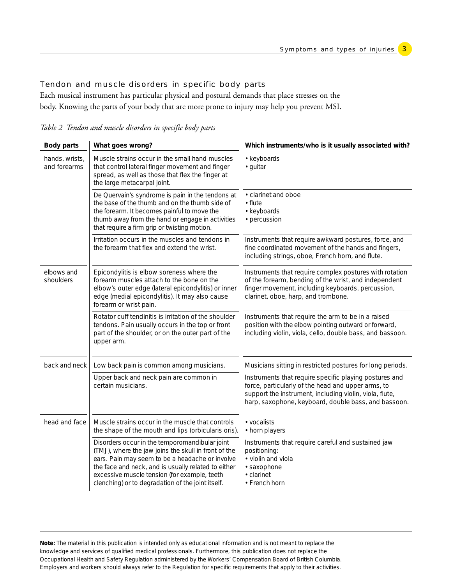3

#### Tendon and muscle disorders in specific body parts

Each musical instrument has particular physical and postural demands that place stresses on the body. Knowing the parts of your body that are more prone to injury may help you prevent MSI.

*Table 2 Tendon and muscle disorders in specific body parts*

| <b>Body parts</b>              | What goes wrong?                                                                                                                                                                                                                                                                                                      | Which instruments/who is it usually associated with?                                                                                                                                                                            |  |
|--------------------------------|-----------------------------------------------------------------------------------------------------------------------------------------------------------------------------------------------------------------------------------------------------------------------------------------------------------------------|---------------------------------------------------------------------------------------------------------------------------------------------------------------------------------------------------------------------------------|--|
| hands, wrists,<br>and forearms | Muscle strains occur in the small hand muscles<br>that control lateral finger movement and finger<br>spread, as well as those that flex the finger at<br>the large metacarpal joint.                                                                                                                                  | • keyboards<br>· guitar                                                                                                                                                                                                         |  |
|                                | De Quervain's syndrome is pain in the tendons at<br>the base of the thumb and on the thumb side of<br>the forearm. It becomes painful to move the<br>thumb away from the hand or engage in activities<br>that require a firm grip or twisting motion.                                                                 | • clarinet and oboe<br>$\cdot$ flute<br>• keyboards<br>• percussion                                                                                                                                                             |  |
|                                | Irritation occurs in the muscles and tendons in<br>the forearm that flex and extend the wrist.                                                                                                                                                                                                                        | Instruments that require awkward postures, force, and<br>fine coordinated movement of the hands and fingers,<br>including strings, oboe, French horn, and flute.                                                                |  |
| elbows and<br>shoulders        | Epicondylitis is elbow soreness where the<br>forearm muscles attach to the bone on the<br>elbow's outer edge (lateral epicondylitis) or inner<br>edge (medial epicondylitis). It may also cause<br>forearm or wrist pain.                                                                                             | Instruments that require complex postures with rotation<br>of the forearm, bending of the wrist, and independent<br>finger movement, including keyboards, percussion,<br>clarinet, oboe, harp, and trombone.                    |  |
|                                | Rotator cuff tendinitis is irritation of the shoulder<br>tendons. Pain usually occurs in the top or front<br>part of the shoulder, or on the outer part of the<br>upper arm.                                                                                                                                          | Instruments that require the arm to be in a raised<br>position with the elbow pointing outward or forward,<br>including violin, viola, cello, double bass, and bassoon.                                                         |  |
| back and neck                  | Low back pain is common among musicians.                                                                                                                                                                                                                                                                              | Musicians sitting in restricted postures for long periods.                                                                                                                                                                      |  |
|                                | Upper back and neck pain are common in<br>certain musicians.                                                                                                                                                                                                                                                          | Instruments that require specific playing postures and<br>force, particularly of the head and upper arms, to<br>support the instrument, including violin, viola, flute,<br>harp, saxophone, keyboard, double bass, and bassoon. |  |
| head and face                  | Muscle strains occur in the muscle that controls<br>the shape of the mouth and lips (orbicularis oris).                                                                                                                                                                                                               | • vocalists<br>• horn players                                                                                                                                                                                                   |  |
|                                | Disorders occur in the temporomandibular joint<br>(TMJ), where the jaw joins the skull in front of the<br>ears. Pain may seem to be a headache or involve<br>the face and neck, and is usually related to either<br>excessive muscle tension (for example, teeth<br>clenching) or to degradation of the joint itself. | Instruments that require careful and sustained jaw<br>positioning:<br>• violin and viola<br>· saxophone<br>• clarinet<br>• French horn                                                                                          |  |

**Note:** The material in this publication is intended only as educational information and is not meant to replace the knowledge and services of qualified medical professionals. Furthermore, this publication does not replace the Occupational Health and Safety Regulation administered by the Workers' Compensation Board of British Columbia. Employers and workers should always refer to the Regulation for specific requirements that apply to their activities.